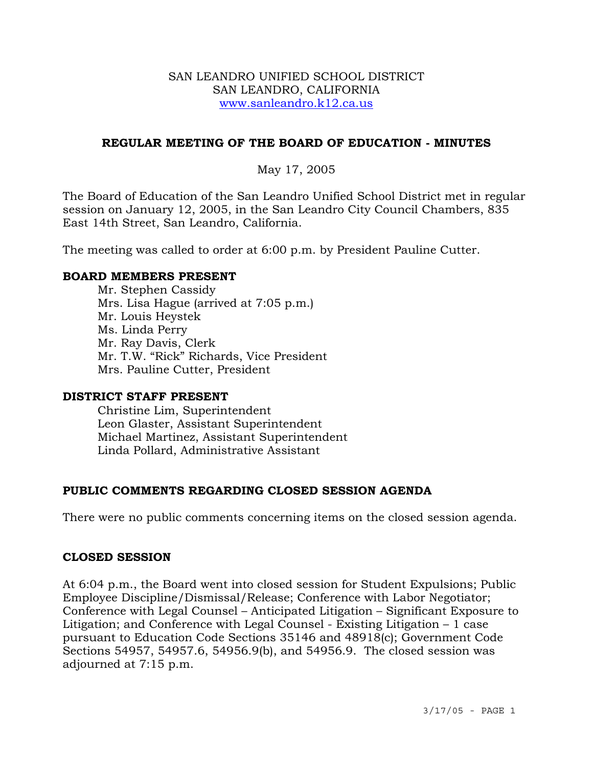#### SAN LEANDRO UNIFIED SCHOOL DISTRICT SAN LEANDRO, CALIFORNIA www.sanleandro.k12.ca.us

## **REGULAR MEETING OF THE BOARD OF EDUCATION - MINUTES**

## May 17, 2005

The Board of Education of the San Leandro Unified School District met in regular session on January 12, 2005, in the San Leandro City Council Chambers, 835 East 14th Street, San Leandro, California.

The meeting was called to order at 6:00 p.m. by President Pauline Cutter.

#### **BOARD MEMBERS PRESENT**

Mr. Stephen Cassidy Mrs. Lisa Hague (arrived at 7:05 p.m.) Mr. Louis Heystek Ms. Linda Perry Mr. Ray Davis, Clerk Mr. T.W. "Rick" Richards, Vice President Mrs. Pauline Cutter, President

#### **DISTRICT STAFF PRESENT**

Christine Lim, Superintendent Leon Glaster, Assistant Superintendent Michael Martinez, Assistant Superintendent Linda Pollard, Administrative Assistant

## **PUBLIC COMMENTS REGARDING CLOSED SESSION AGENDA**

There were no public comments concerning items on the closed session agenda.

#### **CLOSED SESSION**

At 6:04 p.m., the Board went into closed session for Student Expulsions; Public Employee Discipline/Dismissal/Release; Conference with Labor Negotiator; Conference with Legal Counsel – Anticipated Litigation – Significant Exposure to Litigation; and Conference with Legal Counsel - Existing Litigation – 1 case pursuant to Education Code Sections 35146 and 48918(c); Government Code Sections 54957, 54957.6, 54956.9(b), and 54956.9. The closed session was adjourned at 7:15 p.m.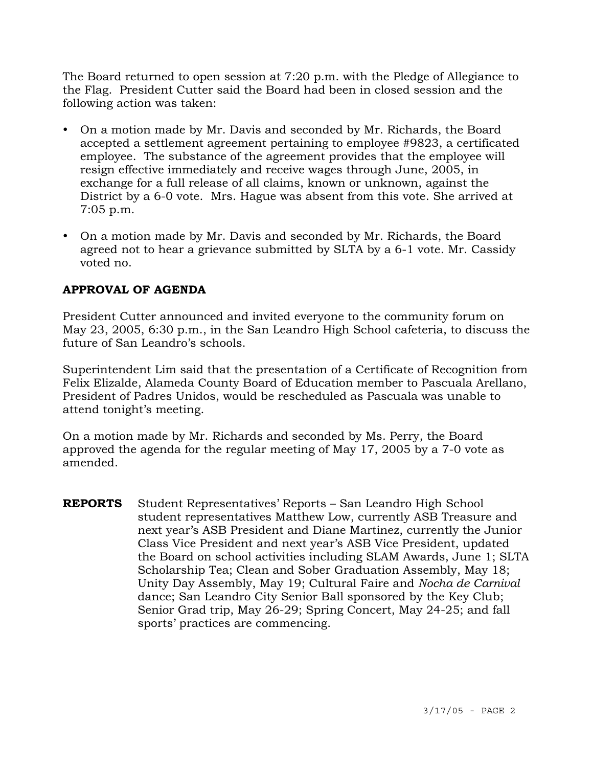The Board returned to open session at 7:20 p.m. with the Pledge of Allegiance to the Flag. President Cutter said the Board had been in closed session and the following action was taken:

- On a motion made by Mr. Davis and seconded by Mr. Richards, the Board accepted a settlement agreement pertaining to employee #9823, a certificated employee. The substance of the agreement provides that the employee will resign effective immediately and receive wages through June, 2005, in exchange for a full release of all claims, known or unknown, against the District by a 6-0 vote. Mrs. Hague was absent from this vote. She arrived at 7:05 p.m.
- On a motion made by Mr. Davis and seconded by Mr. Richards, the Board agreed not to hear a grievance submitted by SLTA by a 6-1 vote. Mr. Cassidy voted no.

# **APPROVAL OF AGENDA**

President Cutter announced and invited everyone to the community forum on May 23, 2005, 6:30 p.m., in the San Leandro High School cafeteria, to discuss the future of San Leandro's schools.

Superintendent Lim said that the presentation of a Certificate of Recognition from Felix Elizalde, Alameda County Board of Education member to Pascuala Arellano, President of Padres Unidos, would be rescheduled as Pascuala was unable to attend tonight's meeting.

On a motion made by Mr. Richards and seconded by Ms. Perry, the Board approved the agenda for the regular meeting of May 17, 2005 by a 7-0 vote as amended.

**REPORTS** Student Representatives' Reports – San Leandro High School student representatives Matthew Low, currently ASB Treasure and next year's ASB President and Diane Martinez, currently the Junior Class Vice President and next year's ASB Vice President, updated the Board on school activities including SLAM Awards, June 1; SLTA Scholarship Tea; Clean and Sober Graduation Assembly, May 18; Unity Day Assembly, May 19; Cultural Faire and *Nocha de Carnival*  dance; San Leandro City Senior Ball sponsored by the Key Club; Senior Grad trip, May 26-29; Spring Concert, May 24-25; and fall sports' practices are commencing.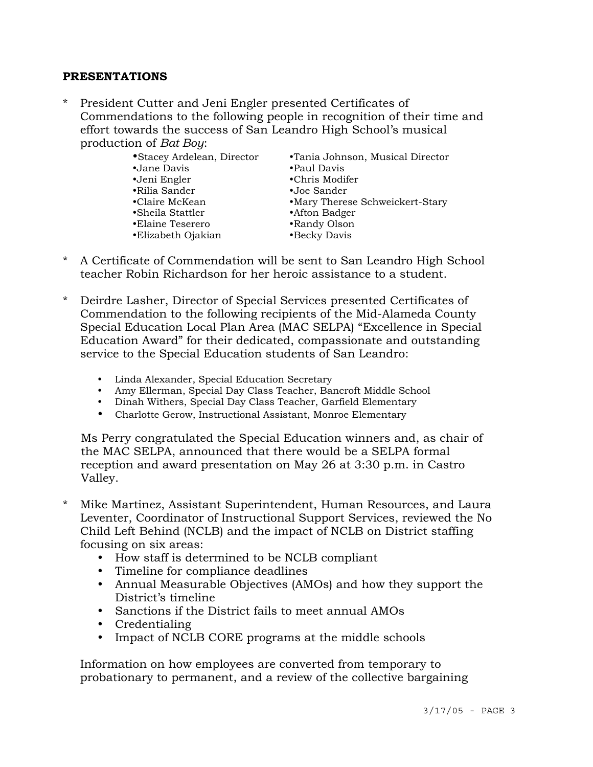#### **PRESENTATIONS**

President Cutter and Jeni Engler presented Certificates of Commendations to the following people in recognition of their time and effort towards the success of San Leandro High School's musical production of *Bat Boy*:

| • Stacey Ardelean, Director | •Tania Johnson, Musical Director |
|-----------------------------|----------------------------------|
| •Jane Davis                 | •Paul Davis                      |
| •Jeni Engler                | •Chris Modifer                   |
| •Rilia Sander               | •Joe Sander                      |
| •Claire McKean              | •Mary Therese Schweickert-Stary  |
| $\bullet$ Sheila Stattler   | •Afton Badger                    |
| •Elaine Teserero            | •Randy Olson                     |
| •Elizabeth Ojakian          | •Becky Davis                     |
|                             |                                  |

- \* A Certificate of Commendation will be sent to San Leandro High School teacher Robin Richardson for her heroic assistance to a student.
- Deirdre Lasher, Director of Special Services presented Certificates of Commendation to the following recipients of the Mid-Alameda County Special Education Local Plan Area (MAC SELPA) "Excellence in Special Education Award" for their dedicated, compassionate and outstanding service to the Special Education students of San Leandro:
	- y Linda Alexander, Special Education Secretary
	- y Amy Ellerman, Special Day Class Teacher, Bancroft Middle School
	- Dinah Withers, Special Day Class Teacher, Garfield Elementary
	- Charlotte Gerow, Instructional Assistant, Monroe Elementary

 Ms Perry congratulated the Special Education winners and, as chair of the MAC SELPA, announced that there would be a SELPA formal reception and award presentation on May 26 at 3:30 p.m. in Castro Valley.

- \* Mike Martinez, Assistant Superintendent, Human Resources, and Laura Leventer, Coordinator of Instructional Support Services, reviewed the No Child Left Behind (NCLB) and the impact of NCLB on District staffing focusing on six areas:
	- y How staff is determined to be NCLB compliant
	- Timeline for compliance deadlines
	- Annual Measurable Objectives (AMOs) and how they support the District's timeline
	- Sanctions if the District fails to meet annual AMOs
	- Credentialing
	- Impact of NCLB CORE programs at the middle schools

Information on how employees are converted from temporary to probationary to permanent, and a review of the collective bargaining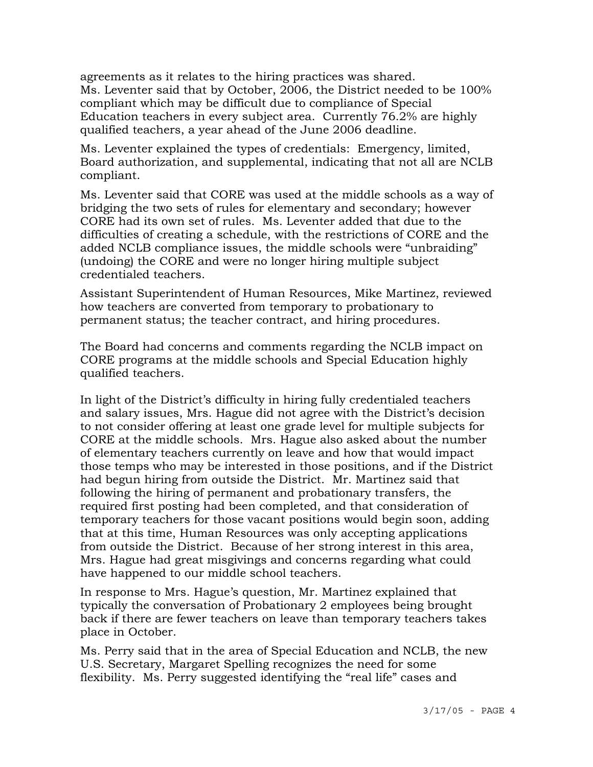agreements as it relates to the hiring practices was shared. Ms. Leventer said that by October, 2006, the District needed to be 100% compliant which may be difficult due to compliance of Special Education teachers in every subject area. Currently 76.2% are highly qualified teachers, a year ahead of the June 2006 deadline.

 Ms. Leventer explained the types of credentials: Emergency, limited, Board authorization, and supplemental, indicating that not all are NCLB compliant.

 Ms. Leventer said that CORE was used at the middle schools as a way of bridging the two sets of rules for elementary and secondary; however CORE had its own set of rules. Ms. Leventer added that due to the difficulties of creating a schedule, with the restrictions of CORE and the added NCLB compliance issues, the middle schools were "unbraiding" (undoing) the CORE and were no longer hiring multiple subject credentialed teachers.

 Assistant Superintendent of Human Resources, Mike Martinez, reviewed how teachers are converted from temporary to probationary to permanent status; the teacher contract, and hiring procedures.

 The Board had concerns and comments regarding the NCLB impact on CORE programs at the middle schools and Special Education highly qualified teachers.

 In light of the District's difficulty in hiring fully credentialed teachers and salary issues, Mrs. Hague did not agree with the District's decision to not consider offering at least one grade level for multiple subjects for CORE at the middle schools. Mrs. Hague also asked about the number of elementary teachers currently on leave and how that would impact those temps who may be interested in those positions, and if the District had begun hiring from outside the District. Mr. Martinez said that following the hiring of permanent and probationary transfers, the required first posting had been completed, and that consideration of temporary teachers for those vacant positions would begin soon, adding that at this time, Human Resources was only accepting applications from outside the District. Because of her strong interest in this area, Mrs. Hague had great misgivings and concerns regarding what could have happened to our middle school teachers.

 In response to Mrs. Hague's question, Mr. Martinez explained that typically the conversation of Probationary 2 employees being brought back if there are fewer teachers on leave than temporary teachers takes place in October.

 Ms. Perry said that in the area of Special Education and NCLB, the new U.S. Secretary, Margaret Spelling recognizes the need for some flexibility. Ms. Perry suggested identifying the "real life" cases and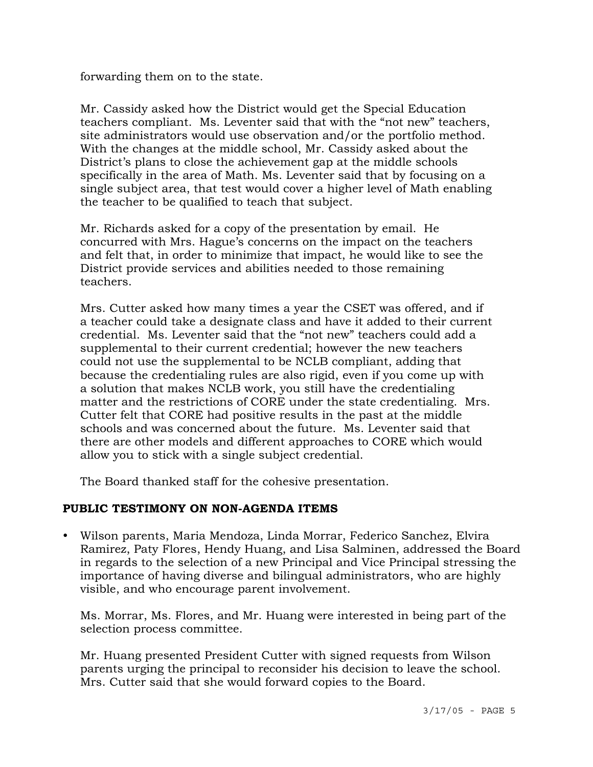forwarding them on to the state.

 Mr. Cassidy asked how the District would get the Special Education teachers compliant. Ms. Leventer said that with the "not new" teachers, site administrators would use observation and/or the portfolio method. With the changes at the middle school, Mr. Cassidy asked about the District's plans to close the achievement gap at the middle schools specifically in the area of Math. Ms. Leventer said that by focusing on a single subject area, that test would cover a higher level of Math enabling the teacher to be qualified to teach that subject.

 Mr. Richards asked for a copy of the presentation by email. He concurred with Mrs. Hague's concerns on the impact on the teachers and felt that, in order to minimize that impact, he would like to see the District provide services and abilities needed to those remaining teachers.

 Mrs. Cutter asked how many times a year the CSET was offered, and if a teacher could take a designate class and have it added to their current credential. Ms. Leventer said that the "not new" teachers could add a supplemental to their current credential; however the new teachers could not use the supplemental to be NCLB compliant, adding that because the credentialing rules are also rigid, even if you come up with a solution that makes NCLB work, you still have the credentialing matter and the restrictions of CORE under the state credentialing. Mrs. Cutter felt that CORE had positive results in the past at the middle schools and was concerned about the future. Ms. Leventer said that there are other models and different approaches to CORE which would allow you to stick with a single subject credential.

The Board thanked staff for the cohesive presentation.

# **PUBLIC TESTIMONY ON NON-AGENDA ITEMS**

y Wilson parents, Maria Mendoza, Linda Morrar, Federico Sanchez, Elvira Ramirez, Paty Flores, Hendy Huang, and Lisa Salminen, addressed the Board in regards to the selection of a new Principal and Vice Principal stressing the importance of having diverse and bilingual administrators, who are highly visible, and who encourage parent involvement.

 Ms. Morrar, Ms. Flores, and Mr. Huang were interested in being part of the selection process committee.

 Mr. Huang presented President Cutter with signed requests from Wilson parents urging the principal to reconsider his decision to leave the school. Mrs. Cutter said that she would forward copies to the Board.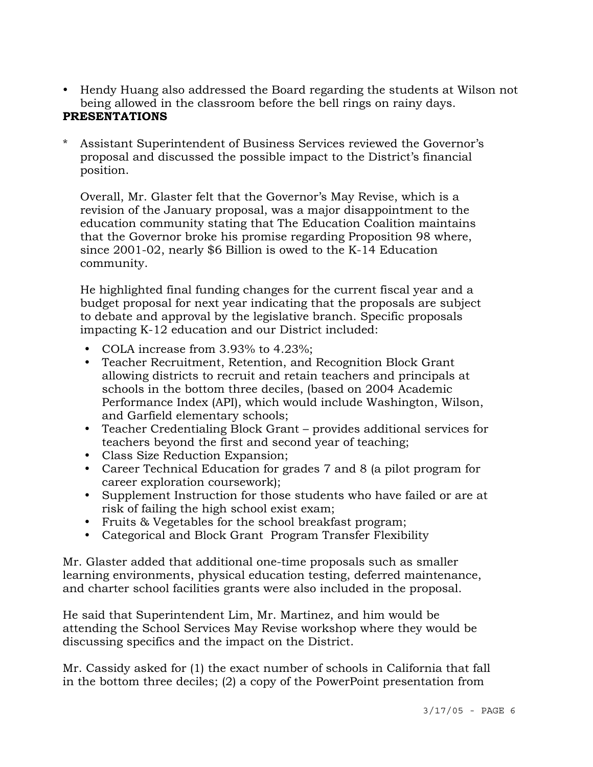- Hendy Huang also addressed the Board regarding the students at Wilson not being allowed in the classroom before the bell rings on rainy days. **PRESENTATIONS**
- Assistant Superintendent of Business Services reviewed the Governor's proposal and discussed the possible impact to the District's financial position.

 Overall, Mr. Glaster felt that the Governor's May Revise, which is a revision of the January proposal, was a major disappointment to the education community stating that The Education Coalition maintains that the Governor broke his promise regarding Proposition 98 where, since 2001-02, nearly \$6 Billion is owed to the K-14 Education community.

 He highlighted final funding changes for the current fiscal year and a budget proposal for next year indicating that the proposals are subject to debate and approval by the legislative branch. Specific proposals impacting K-12 education and our District included:

- COLA increase from  $3.93\%$  to  $4.23\%$ ;
- Teacher Recruitment, Retention, and Recognition Block Grant allowing districts to recruit and retain teachers and principals at schools in the bottom three deciles, (based on 2004 Academic Performance Index (API), which would include Washington, Wilson, and Garfield elementary schools;
- Teacher Credentialing Block Grant provides additional services for teachers beyond the first and second year of teaching;
- Class Size Reduction Expansion;
- Career Technical Education for grades 7 and 8 (a pilot program for career exploration coursework);
- Supplement Instruction for those students who have failed or are at risk of failing the high school exist exam;
- Fruits & Vegetables for the school breakfast program;
- Categorical and Block Grant Program Transfer Flexibility

Mr. Glaster added that additional one-time proposals such as smaller learning environments, physical education testing, deferred maintenance, and charter school facilities grants were also included in the proposal.

He said that Superintendent Lim, Mr. Martinez, and him would be attending the School Services May Revise workshop where they would be discussing specifics and the impact on the District.

Mr. Cassidy asked for (1) the exact number of schools in California that fall in the bottom three deciles; (2) a copy of the PowerPoint presentation from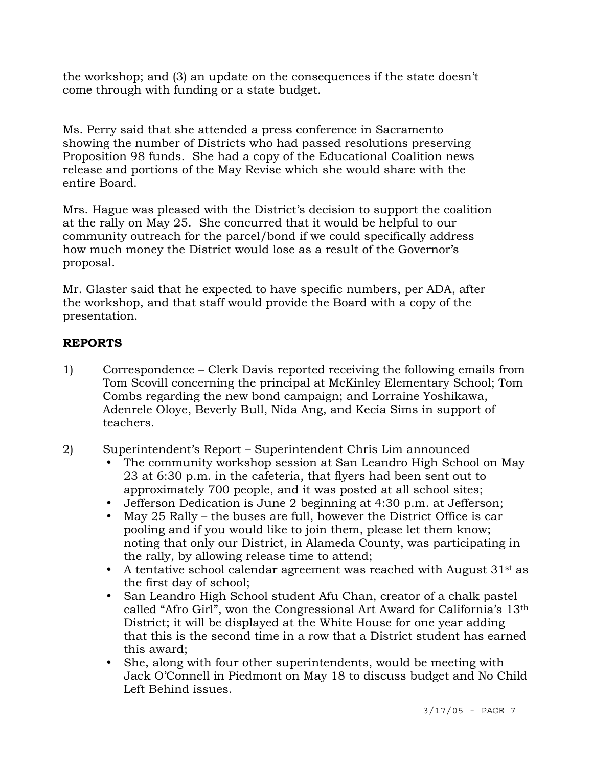the workshop; and (3) an update on the consequences if the state doesn't come through with funding or a state budget.

Ms. Perry said that she attended a press conference in Sacramento showing the number of Districts who had passed resolutions preserving Proposition 98 funds. She had a copy of the Educational Coalition news release and portions of the May Revise which she would share with the entire Board.

Mrs. Hague was pleased with the District's decision to support the coalition at the rally on May 25. She concurred that it would be helpful to our community outreach for the parcel/bond if we could specifically address how much money the District would lose as a result of the Governor's proposal.

Mr. Glaster said that he expected to have specific numbers, per ADA, after the workshop, and that staff would provide the Board with a copy of the presentation.

# **REPORTS**

- 1) Correspondence Clerk Davis reported receiving the following emails from Tom Scovill concerning the principal at McKinley Elementary School; Tom Combs regarding the new bond campaign; and Lorraine Yoshikawa, Adenrele Oloye, Beverly Bull, Nida Ang, and Kecia Sims in support of teachers.
- 2) Superintendent's Report Superintendent Chris Lim announced
	- The community workshop session at San Leandro High School on May 23 at 6:30 p.m. in the cafeteria, that flyers had been sent out to approximately 700 people, and it was posted at all school sites;
	- Jefferson Dedication is June 2 beginning at 4:30 p.m. at Jefferson;
	- May 25 Rally the buses are full, however the District Office is car pooling and if you would like to join them, please let them know; noting that only our District, in Alameda County, was participating in the rally, by allowing release time to attend;
	- A tentative school calendar agreement was reached with August  $31<sup>st</sup>$  as the first day of school;
	- San Leandro High School student Afu Chan, creator of a chalk pastel called "Afro Girl", won the Congressional Art Award for California's 13th District; it will be displayed at the White House for one year adding that this is the second time in a row that a District student has earned this award;
	- She, along with four other superintendents, would be meeting with Jack O'Connell in Piedmont on May 18 to discuss budget and No Child Left Behind issues.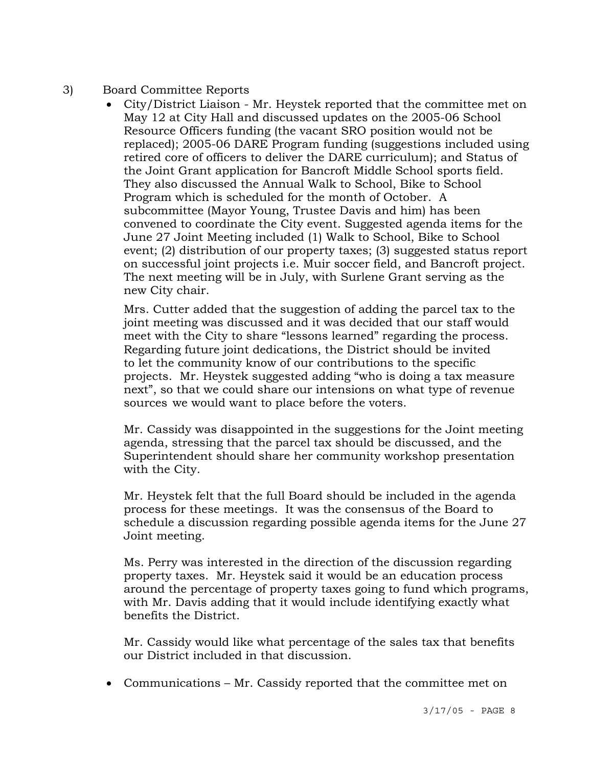- 3) Board Committee Reports
	- City/District Liaison Mr. Heystek reported that the committee met on May 12 at City Hall and discussed updates on the 2005-06 School Resource Officers funding (the vacant SRO position would not be replaced); 2005-06 DARE Program funding (suggestions included using retired core of officers to deliver the DARE curriculum); and Status of the Joint Grant application for Bancroft Middle School sports field. They also discussed the Annual Walk to School, Bike to School Program which is scheduled for the month of October. A subcommittee (Mayor Young, Trustee Davis and him) has been convened to coordinate the City event. Suggested agenda items for the June 27 Joint Meeting included (1) Walk to School, Bike to School event; (2) distribution of our property taxes; (3) suggested status report on successful joint projects i.e. Muir soccer field, and Bancroft project. The next meeting will be in July, with Surlene Grant serving as the new City chair.

 Mrs. Cutter added that the suggestion of adding the parcel tax to the joint meeting was discussed and it was decided that our staff would meet with the City to share "lessons learned" regarding the process. Regarding future joint dedications, the District should be invited to let the community know of our contributions to the specific projects. Mr. Heystek suggested adding "who is doing a tax measure next", so that we could share our intensions on what type of revenue sources we would want to place before the voters.

 Mr. Cassidy was disappointed in the suggestions for the Joint meeting agenda, stressing that the parcel tax should be discussed, and the Superintendent should share her community workshop presentation with the City.

 Mr. Heystek felt that the full Board should be included in the agenda process for these meetings. It was the consensus of the Board to schedule a discussion regarding possible agenda items for the June 27 Joint meeting.

 Ms. Perry was interested in the direction of the discussion regarding property taxes. Mr. Heystek said it would be an education process around the percentage of property taxes going to fund which programs, with Mr. Davis adding that it would include identifying exactly what benefits the District.

 Mr. Cassidy would like what percentage of the sales tax that benefits our District included in that discussion.

- Communications Mr. Cassidy reported that the committee met on
	- 3/17/05 PAGE 8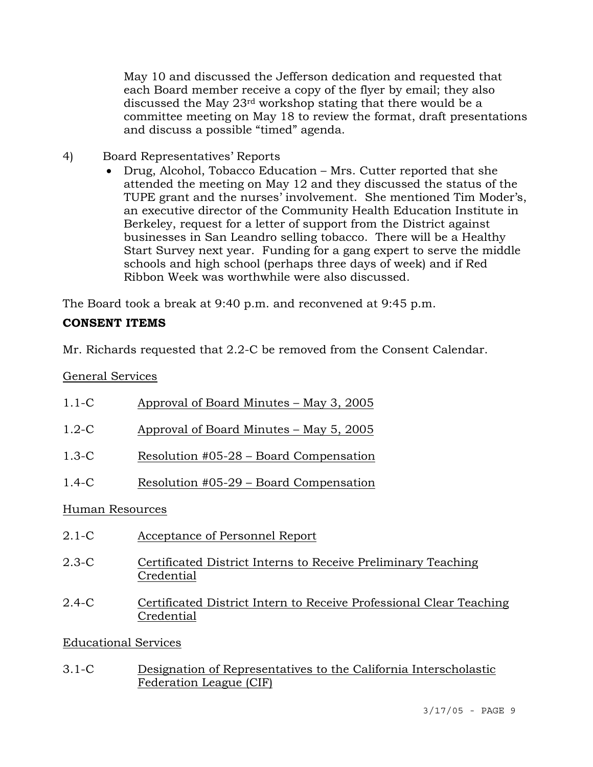May 10 and discussed the Jefferson dedication and requested that each Board member receive a copy of the flyer by email; they also discussed the May 23rd workshop stating that there would be a committee meeting on May 18 to review the format, draft presentations and discuss a possible "timed" agenda.

- 4) Board Representatives' Reports
	- Drug, Alcohol, Tobacco Education Mrs. Cutter reported that she attended the meeting on May 12 and they discussed the status of the TUPE grant and the nurses' involvement. She mentioned Tim Moder's, an executive director of the Community Health Education Institute in Berkeley, request for a letter of support from the District against businesses in San Leandro selling tobacco. There will be a Healthy Start Survey next year. Funding for a gang expert to serve the middle schools and high school (perhaps three days of week) and if Red Ribbon Week was worthwhile were also discussed.

The Board took a break at 9:40 p.m. and reconvened at 9:45 p.m.

# **CONSENT ITEMS**

Mr. Richards requested that 2.2-C be removed from the Consent Calendar.

General Services

| $1.1-C$         | Approval of Board Minutes – May 3, 2005                                           |
|-----------------|-----------------------------------------------------------------------------------|
| $1.2-C$         | Approval of Board Minutes – May 5, 2005                                           |
| $1.3-C$         | Resolution #05-28 – Board Compensation                                            |
| $1.4-C$         | Resolution #05-29 – Board Compensation                                            |
| Human Resources |                                                                                   |
| $2.1-C$         | Acceptance of Personnel Report                                                    |
| $2.3-C$         | Certificated District Interns to Receive Preliminary Teaching<br>Credential       |
| $2.4-C$         | Certificated District Intern to Receive Professional Clear Teaching<br>Credential |

# Educational Services

3.1-C Designation of Representatives to the California Interscholastic Federation League (CIF)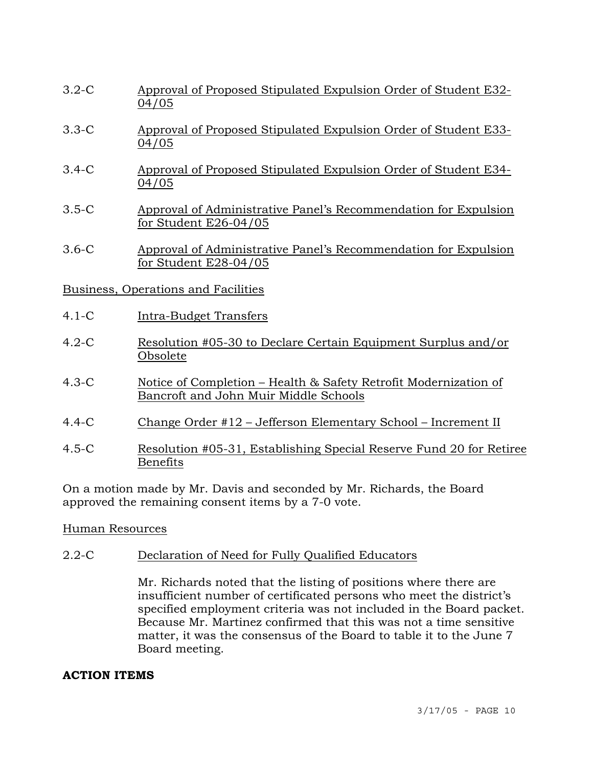- 3.2-C Approval of Proposed Stipulated Expulsion Order of Student E32- 04/05
- 3.3-C Approval of Proposed Stipulated Expulsion Order of Student E33- 04/05
- 3.4-C Approval of Proposed Stipulated Expulsion Order of Student E34- 04/05
- 3.5-C Approval of Administrative Panel's Recommendation for Expulsion for Student E26-04/05
- 3.6-C Approval of Administrative Panel's Recommendation for Expulsion for Student E28-04/05

## Business, Operations and Facilities

- 4.1-C Intra-Budget Transfers
- 4.2-C Resolution #05-30 to Declare Certain Equipment Surplus and/or Obsolete
- 4.3-C Notice of Completion Health & Safety Retrofit Modernization of Bancroft and John Muir Middle Schools
- 4.4-C Change Order #12 Jefferson Elementary School Increment II
- 4.5-C Resolution #05-31, Establishing Special Reserve Fund 20 for Retiree Benefits

On a motion made by Mr. Davis and seconded by Mr. Richards, the Board approved the remaining consent items by a 7-0 vote.

#### Human Resources

## 2.2-C Declaration of Need for Fully Qualified Educators

Mr. Richards noted that the listing of positions where there are insufficient number of certificated persons who meet the district's specified employment criteria was not included in the Board packet. Because Mr. Martinez confirmed that this was not a time sensitive matter, it was the consensus of the Board to table it to the June 7 Board meeting.

#### **ACTION ITEMS**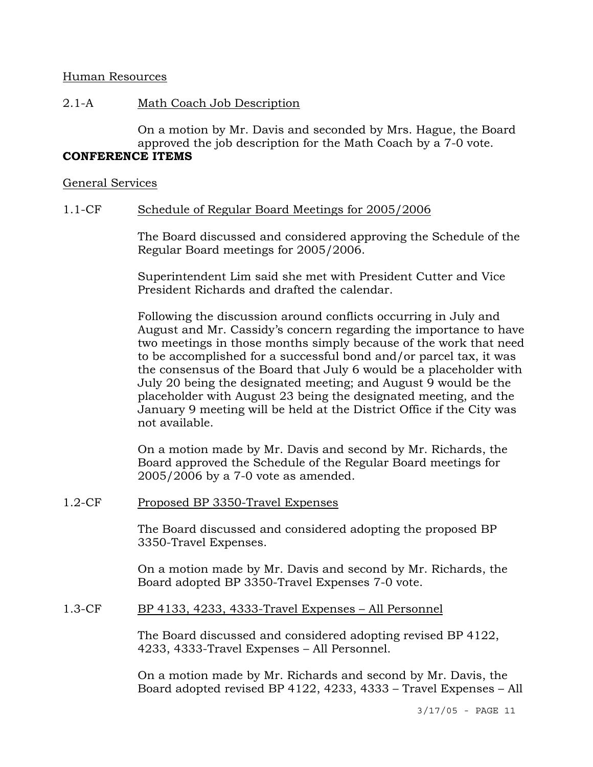#### Human Resources

# 2.1-A Math Coach Job Description

On a motion by Mr. Davis and seconded by Mrs. Hague, the Board approved the job description for the Math Coach by a 7-0 vote. **CONFERENCE ITEMS** 

# General Services

# 1.1-CF Schedule of Regular Board Meetings for 2005/2006

The Board discussed and considered approving the Schedule of the Regular Board meetings for 2005/2006.

Superintendent Lim said she met with President Cutter and Vice President Richards and drafted the calendar.

Following the discussion around conflicts occurring in July and August and Mr. Cassidy's concern regarding the importance to have two meetings in those months simply because of the work that need to be accomplished for a successful bond and/or parcel tax, it was the consensus of the Board that July 6 would be a placeholder with July 20 being the designated meeting; and August 9 would be the placeholder with August 23 being the designated meeting, and the January 9 meeting will be held at the District Office if the City was not available.

On a motion made by Mr. Davis and second by Mr. Richards, the Board approved the Schedule of the Regular Board meetings for 2005/2006 by a 7-0 vote as amended.

# 1.2-CF Proposed BP 3350-Travel Expenses

The Board discussed and considered adopting the proposed BP 3350-Travel Expenses.

On a motion made by Mr. Davis and second by Mr. Richards, the Board adopted BP 3350-Travel Expenses 7-0 vote.

# 1.3-CF BP 4133, 4233, 4333-Travel Expenses – All Personnel

The Board discussed and considered adopting revised BP 4122, 4233, 4333-Travel Expenses – All Personnel.

On a motion made by Mr. Richards and second by Mr. Davis, the Board adopted revised BP 4122, 4233, 4333 – Travel Expenses – All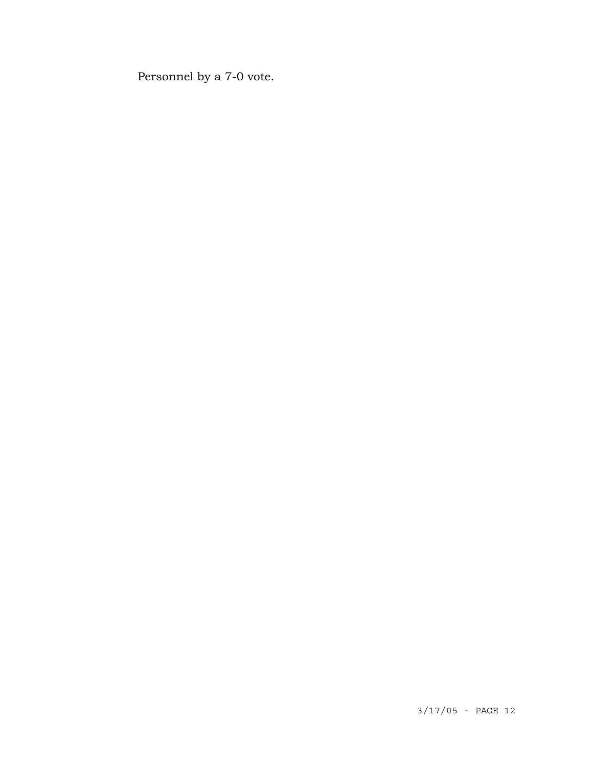Personnel by a 7-0 vote.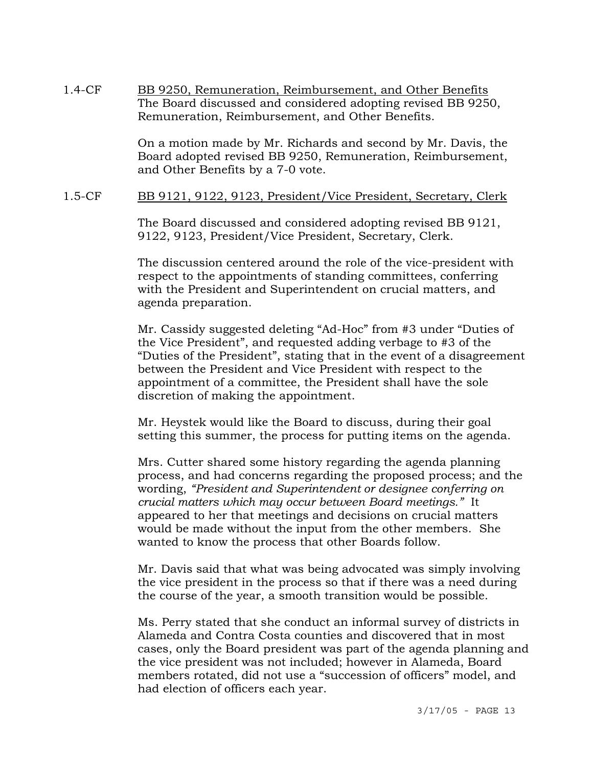1.4-CF BB 9250, Remuneration, Reimbursement, and Other Benefits The Board discussed and considered adopting revised BB 9250, Remuneration, Reimbursement, and Other Benefits.

> On a motion made by Mr. Richards and second by Mr. Davis, the Board adopted revised BB 9250, Remuneration, Reimbursement, and Other Benefits by a 7-0 vote.

#### 1.5-CF BB 9121, 9122, 9123, President/Vice President, Secretary, Clerk

The Board discussed and considered adopting revised BB 9121, 9122, 9123, President/Vice President, Secretary, Clerk.

The discussion centered around the role of the vice-president with respect to the appointments of standing committees, conferring with the President and Superintendent on crucial matters, and agenda preparation.

Mr. Cassidy suggested deleting "Ad-Hoc" from #3 under "Duties of the Vice President", and requested adding verbage to #3 of the "Duties of the President", stating that in the event of a disagreement between the President and Vice President with respect to the appointment of a committee, the President shall have the sole discretion of making the appointment.

Mr. Heystek would like the Board to discuss, during their goal setting this summer, the process for putting items on the agenda.

Mrs. Cutter shared some history regarding the agenda planning process, and had concerns regarding the proposed process; and the wording, *"President and Superintendent or designee conferring on crucial matters which may occur between Board meetings."* It appeared to her that meetings and decisions on crucial matters would be made without the input from the other members. She wanted to know the process that other Boards follow.

Mr. Davis said that what was being advocated was simply involving the vice president in the process so that if there was a need during the course of the year, a smooth transition would be possible.

Ms. Perry stated that she conduct an informal survey of districts in Alameda and Contra Costa counties and discovered that in most cases, only the Board president was part of the agenda planning and the vice president was not included; however in Alameda, Board members rotated, did not use a "succession of officers" model, and had election of officers each year.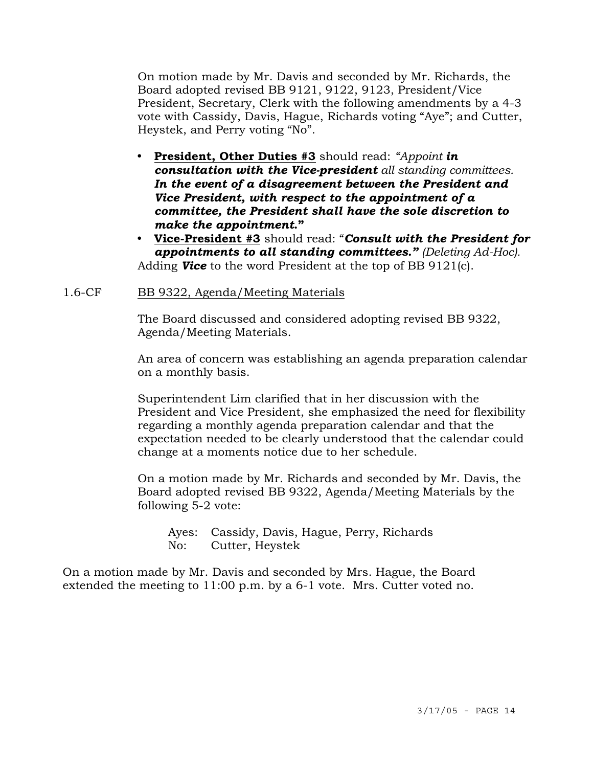On motion made by Mr. Davis and seconded by Mr. Richards, the Board adopted revised BB 9121, 9122, 9123, President/Vice President, Secretary, Clerk with the following amendments by a 4-3 vote with Cassidy, Davis, Hague, Richards voting "Aye"; and Cutter, Heystek, and Perry voting "No".

- y **President, Other Duties #3** should read: *"Appoint in consultation with the Vice-president all standing committees.* *In the event of a disagreement between the President and Vice President, with respect to the appointment of a committee, the President shall have the sole discretion to make the appointment***."**
- y **Vice-President #3** should read: "*Consult with the President for appointments to all standing committees." (Deleting Ad-Hoc).* Adding *Vice* to the word President at the top of BB 9121(c).

#### 1.6-CF BB 9322, Agenda/Meeting Materials

The Board discussed and considered adopting revised BB 9322, Agenda/Meeting Materials.

An area of concern was establishing an agenda preparation calendar on a monthly basis.

Superintendent Lim clarified that in her discussion with the President and Vice President, she emphasized the need for flexibility regarding a monthly agenda preparation calendar and that the expectation needed to be clearly understood that the calendar could change at a moments notice due to her schedule.

On a motion made by Mr. Richards and seconded by Mr. Davis, the Board adopted revised BB 9322, Agenda/Meeting Materials by the following 5-2 vote:

 Ayes: Cassidy, Davis, Hague, Perry, Richards No: Cutter, Heystek

On a motion made by Mr. Davis and seconded by Mrs. Hague, the Board extended the meeting to 11:00 p.m. by a 6-1 vote. Mrs. Cutter voted no.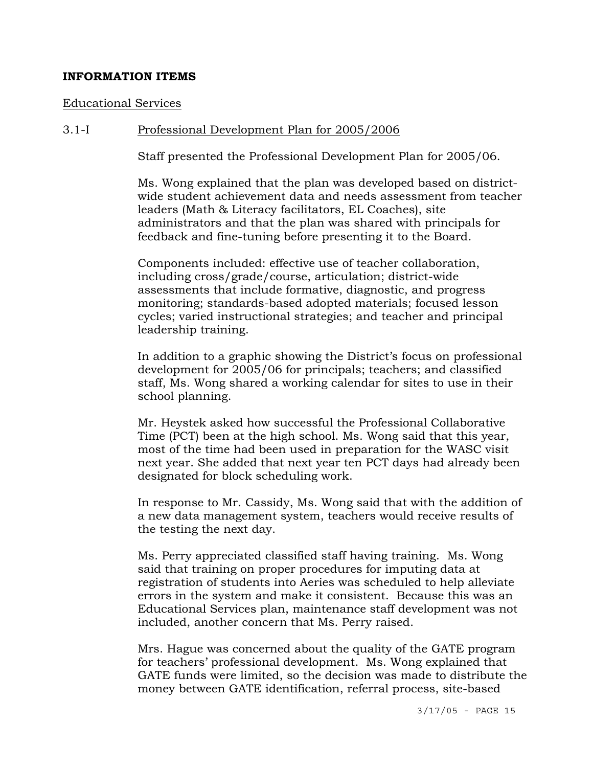### **INFORMATION ITEMS**

#### Educational Services

#### 3.1-I Professional Development Plan for 2005/2006

Staff presented the Professional Development Plan for 2005/06.

Ms. Wong explained that the plan was developed based on districtwide student achievement data and needs assessment from teacher leaders (Math & Literacy facilitators, EL Coaches), site administrators and that the plan was shared with principals for feedback and fine-tuning before presenting it to the Board.

Components included: effective use of teacher collaboration, including cross/grade/course, articulation; district-wide assessments that include formative, diagnostic, and progress monitoring; standards-based adopted materials; focused lesson cycles; varied instructional strategies; and teacher and principal leadership training.

In addition to a graphic showing the District's focus on professional development for 2005/06 for principals; teachers; and classified staff, Ms. Wong shared a working calendar for sites to use in their school planning.

Mr. Heystek asked how successful the Professional Collaborative Time (PCT) been at the high school. Ms. Wong said that this year, most of the time had been used in preparation for the WASC visit next year. She added that next year ten PCT days had already been designated for block scheduling work.

In response to Mr. Cassidy, Ms. Wong said that with the addition of a new data management system, teachers would receive results of the testing the next day.

Ms. Perry appreciated classified staff having training. Ms. Wong said that training on proper procedures for imputing data at registration of students into Aeries was scheduled to help alleviate errors in the system and make it consistent. Because this was an Educational Services plan, maintenance staff development was not included, another concern that Ms. Perry raised.

Mrs. Hague was concerned about the quality of the GATE program for teachers' professional development. Ms. Wong explained that GATE funds were limited, so the decision was made to distribute the money between GATE identification, referral process, site-based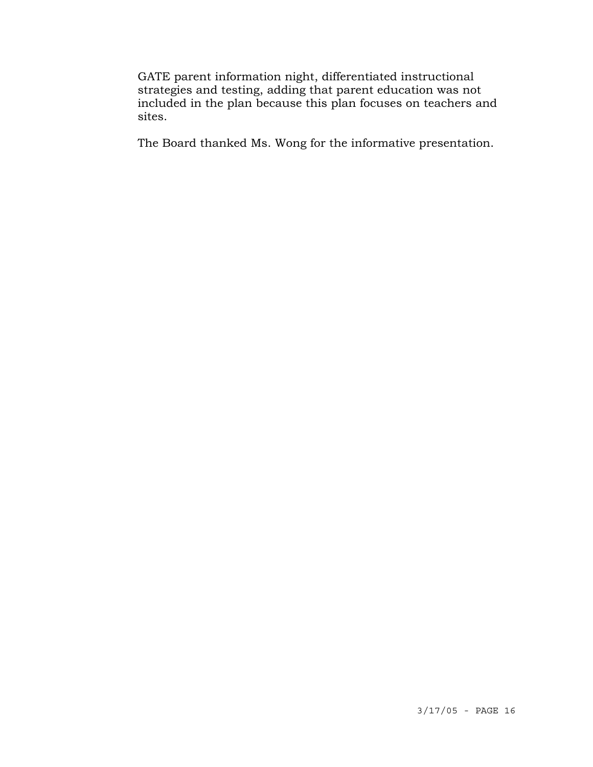GATE parent information night, differentiated instructional strategies and testing, adding that parent education was not included in the plan because this plan focuses on teachers and sites.

The Board thanked Ms. Wong for the informative presentation.